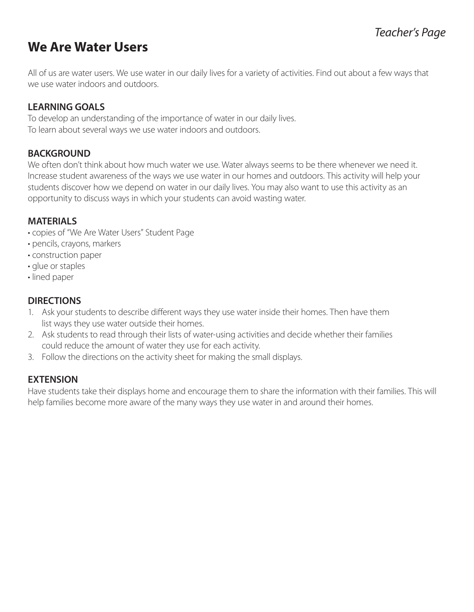# **We Are Water Users**

All of us are water users. We use water in our daily lives for a variety of activities. Find out about a few ways that we use water indoors and outdoors.

#### **LEARNING GOALS**

To develop an understanding of the importance of water in our daily lives. To learn about several ways we use water indoors and outdoors.

#### **BACKGROUND**

We often don't think about how much water we use. Water always seems to be there whenever we need it. Increase student awareness of the ways we use water in our homes and outdoors. This activity will help your students discover how we depend on water in our daily lives. You may also want to use this activity as an opportunity to discuss ways in which your students can avoid wasting water.

#### **MATERIALS**

- copies of "We Are Water Users" Student Page
- pencils, crayons, markers
- construction paper
- glue or staples
- lined paper

#### **DIRECTIONS**

- 1. Ask your students to describe different ways they use water inside their homes. Then have them list ways they use water outside their homes.
- 2. Ask students to read through their lists of water-using activities and decide whether their families could reduce the amount of water they use for each activity.
- 3. Follow the directions on the activity sheet for making the small displays.

#### **EXTENSION**

Have students take their displays home and encourage them to share the information with their families. This will help families become more aware of the many ways they use water in and around their homes.